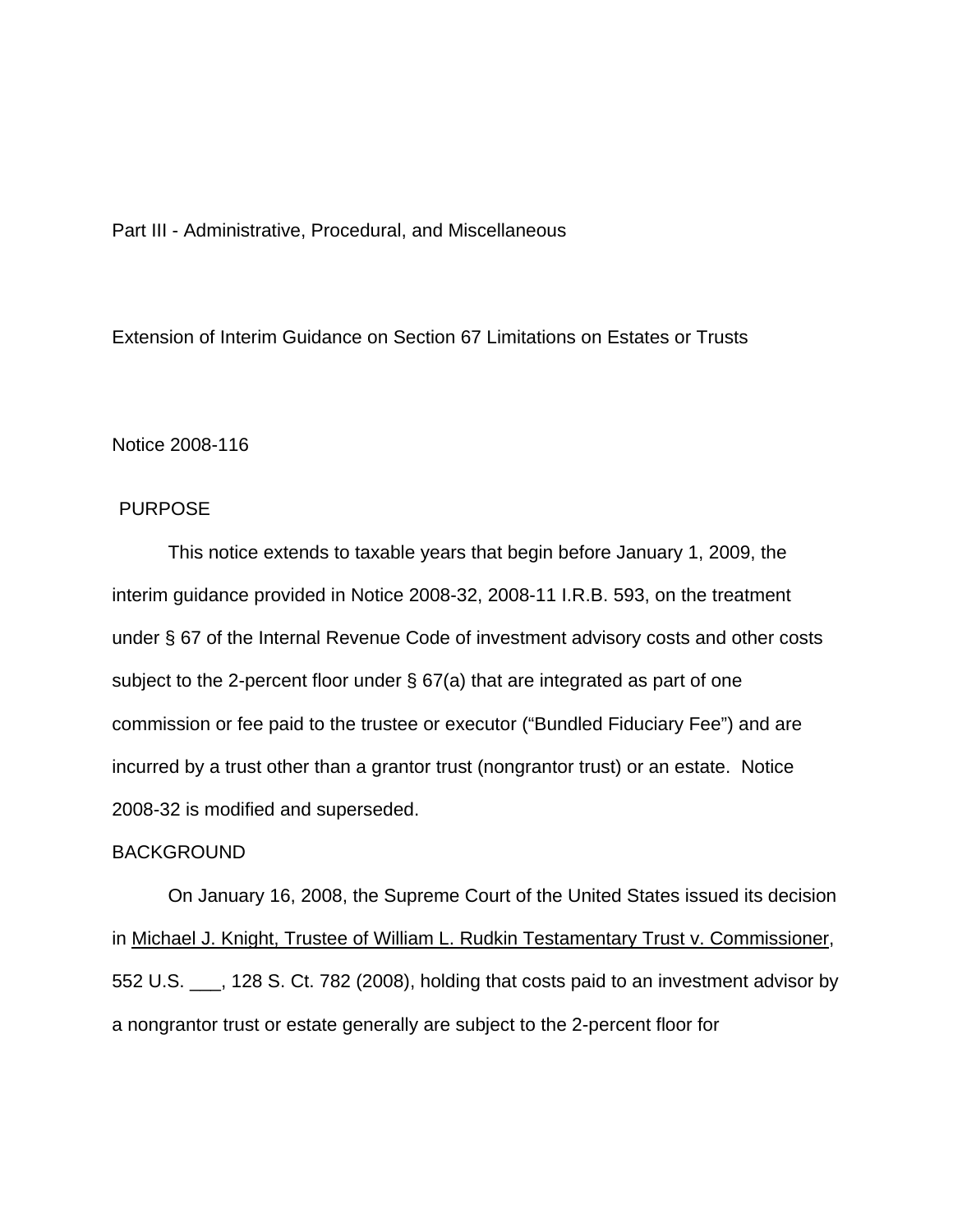Part III - Administrative, Procedural, and Miscellaneous

Extension of Interim Guidance on Section 67 Limitations on Estates or Trusts

Notice 2008-116

## PURPOSE

 This notice extends to taxable years that begin before January 1, 2009, the interim guidance provided in Notice 2008-32, 2008-11 I.R.B. 593, on the treatment under § 67 of the Internal Revenue Code of investment advisory costs and other costs subject to the 2-percent floor under § 67(a) that are integrated as part of one commission or fee paid to the trustee or executor ("Bundled Fiduciary Fee") and are incurred by a trust other than a grantor trust (nongrantor trust) or an estate. Notice 2008-32 is modified and superseded.

## BACKGROUND

 On January 16, 2008, the Supreme Court of the United States issued its decision in Michael J. Knight, Trustee of William L. Rudkin Testamentary Trust v. Commissioner, 552 U.S. \_\_\_, 128 S. Ct. 782 (2008), holding that costs paid to an investment advisor by a nongrantor trust or estate generally are subject to the 2-percent floor for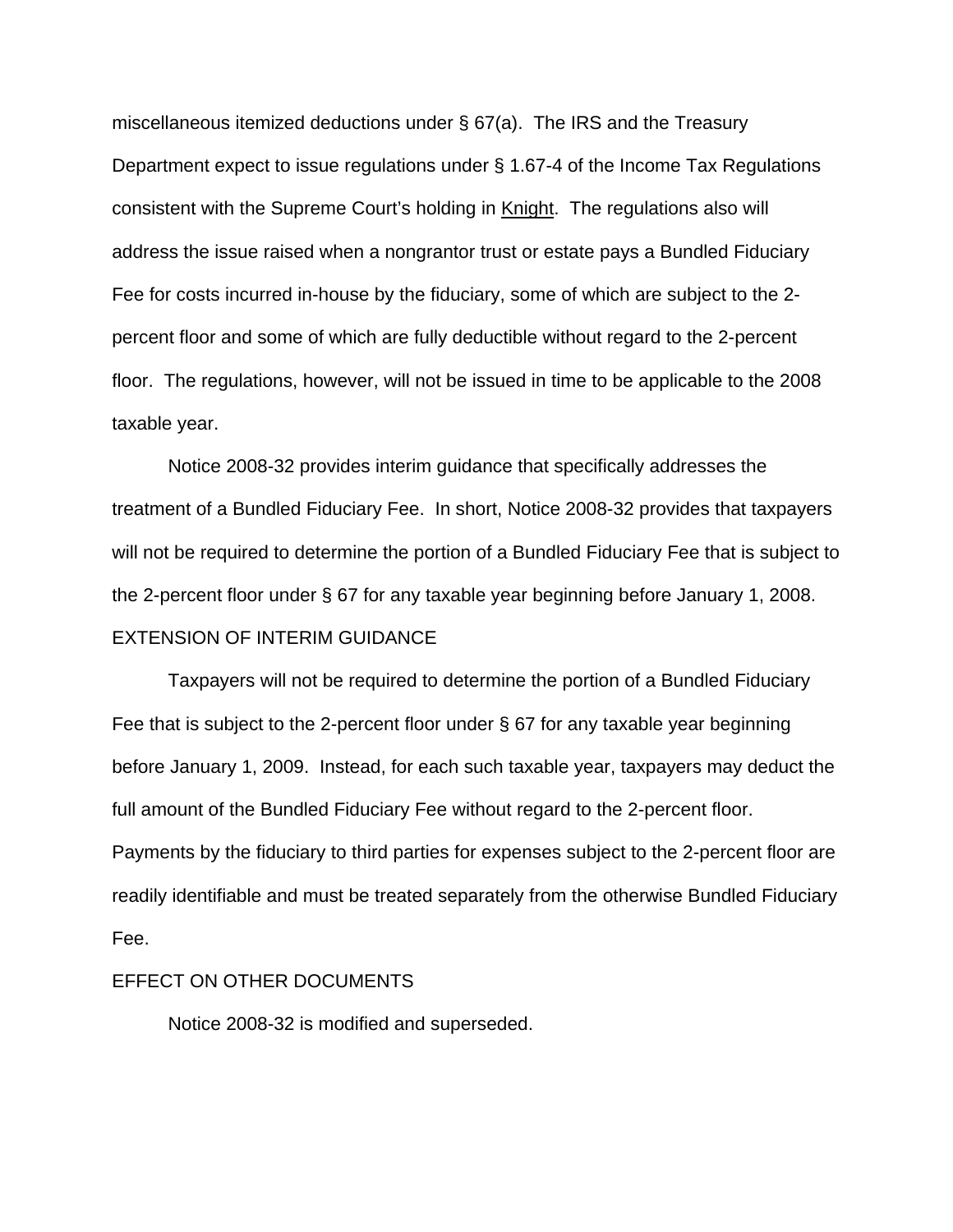miscellaneous itemized deductions under § 67(a). The IRS and the Treasury Department expect to issue regulations under § 1.67-4 of the Income Tax Regulations consistent with the Supreme Court's holding in Knight. The regulations also will address the issue raised when a nongrantor trust or estate pays a Bundled Fiduciary Fee for costs incurred in-house by the fiduciary, some of which are subject to the 2 percent floor and some of which are fully deductible without regard to the 2-percent floor. The regulations, however, will not be issued in time to be applicable to the 2008 taxable year.

 Notice 2008-32 provides interim guidance that specifically addresses the treatment of a Bundled Fiduciary Fee. In short, Notice 2008-32 provides that taxpayers will not be required to determine the portion of a Bundled Fiduciary Fee that is subject to the 2-percent floor under § 67 for any taxable year beginning before January 1, 2008. EXTENSION OF INTERIM GUIDANCE

Taxpayers will not be required to determine the portion of a Bundled Fiduciary Fee that is subject to the 2-percent floor under § 67 for any taxable year beginning before January 1, 2009. Instead, for each such taxable year, taxpayers may deduct the full amount of the Bundled Fiduciary Fee without regard to the 2-percent floor. Payments by the fiduciary to third parties for expenses subject to the 2-percent floor are readily identifiable and must be treated separately from the otherwise Bundled Fiduciary Fee.

## EFFECT ON OTHER DOCUMENTS

Notice 2008-32 is modified and superseded.